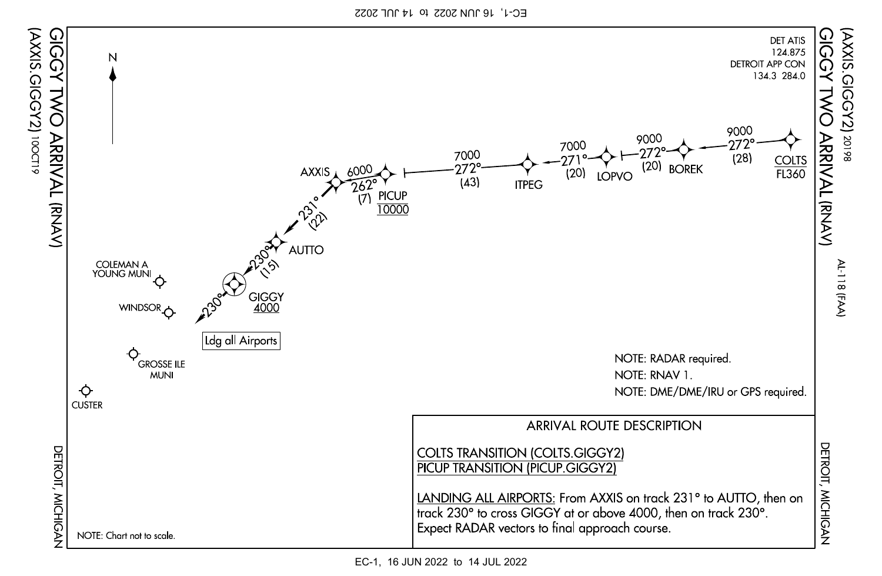EC-1, 16 JUN 2022 to 14 JUL 2022

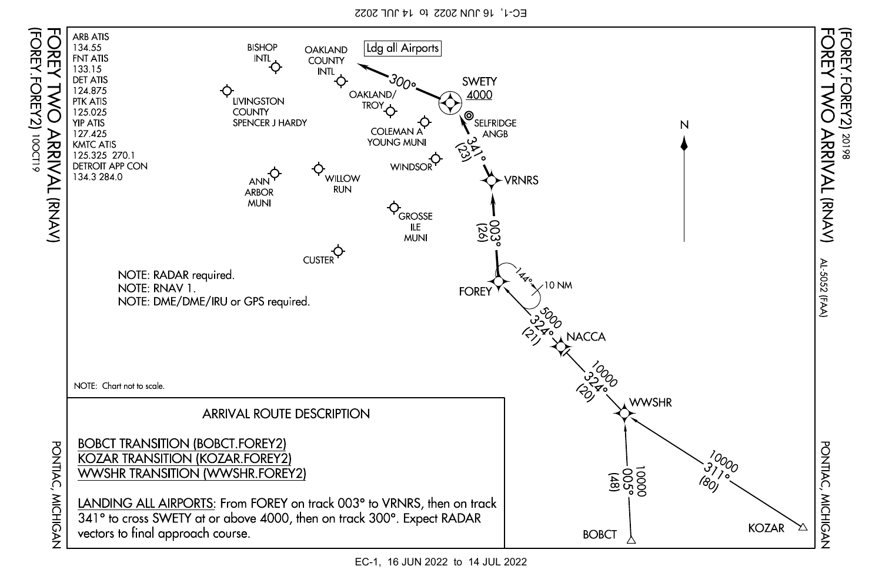EC-1, 16 JUN 2022 to 14 JUL 2022



EC-1, 16 JUN 2022 to 14 JUL 2022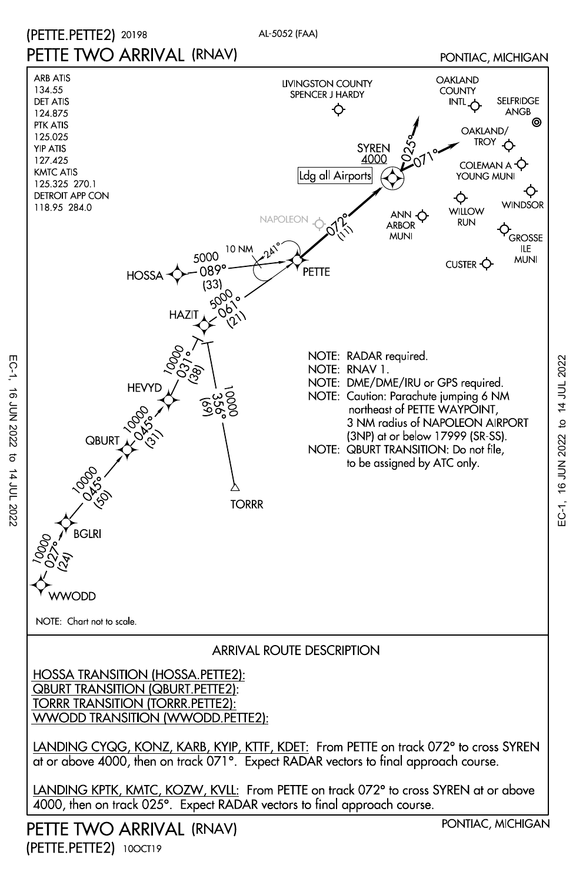







PETTE TWO ARRIVAL (RNAV) (PETTE.PETTE2) 10OCT19

PONTIAC, MICHIGAN

EC-1, 16 JUN 2022 to 14 JUL 2022

EC-1, 16 JUN 2022 to 14 JUL 2022